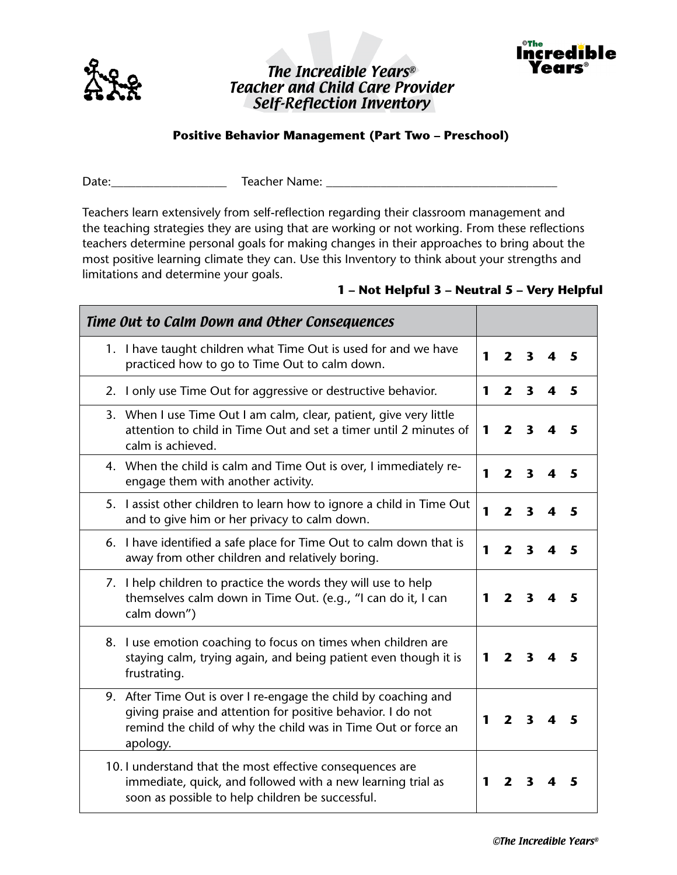

## The Incredible Years® Teacher and Child Care Provider Self-Reflection Inventory



## **Positive Behavior Management (Part Two – Preschool)**

Date:\_\_\_\_\_\_\_\_\_\_\_\_\_\_\_\_\_\_\_ Teacher Name: \_\_\_\_\_\_\_\_\_\_\_\_\_\_\_\_\_\_\_\_\_\_\_\_\_\_\_\_\_\_\_\_\_\_\_\_\_\_

Teachers learn extensively from self-reflection regarding their classroom management and the teaching strategies they are using that are working or not working. From these reflections teachers determine personal goals for making changes in their approaches to bring about the most positive learning climate they can. Use this Inventory to think about your strengths and limitations and determine your goals.

## **1 – Not Helpful 3 – Neutral 5 – Very Helpful**

| Time Out to Calm Down and Other Consequences                                                                                                                                                                |   |                         |                         |   |   |
|-------------------------------------------------------------------------------------------------------------------------------------------------------------------------------------------------------------|---|-------------------------|-------------------------|---|---|
| 1. I have taught children what Time Out is used for and we have<br>practiced how to go to Time Out to calm down.                                                                                            | 1 | $\overline{2}$          | $\overline{\mathbf{3}}$ |   | 5 |
| 2. I only use Time Out for aggressive or destructive behavior.                                                                                                                                              | 1 | $\overline{\mathbf{z}}$ | $\overline{\mathbf{3}}$ | 4 | 5 |
| 3. When I use Time Out I am calm, clear, patient, give very little<br>attention to child in Time Out and set a timer until 2 minutes of<br>calm is achieved.                                                | 1 | $\overline{\mathbf{z}}$ | $\overline{\mathbf{3}}$ |   | 5 |
| 4. When the child is calm and Time Out is over, I immediately re-<br>engage them with another activity.                                                                                                     | 1 | $\mathbf{2}$            | 3                       |   | 5 |
| 5. I assist other children to learn how to ignore a child in Time Out<br>and to give him or her privacy to calm down.                                                                                       | 1 | $\overline{2}$          | $\overline{\mathbf{3}}$ | 4 | 5 |
| 6. I have identified a safe place for Time Out to calm down that is<br>away from other children and relatively boring.                                                                                      | 1 | $\mathbf{2}$            | 3                       |   | 5 |
| 7. I help children to practice the words they will use to help<br>themselves calm down in Time Out. (e.g., "I can do it, I can<br>calm down")                                                               | 1 | $\mathbf{2}$            | 3                       |   | 5 |
| 8. I use emotion coaching to focus on times when children are<br>staying calm, trying again, and being patient even though it is<br>frustrating.                                                            | 1 | $\overline{\mathbf{z}}$ | 3                       |   |   |
| 9. After Time Out is over I re-engage the child by coaching and<br>giving praise and attention for positive behavior. I do not<br>remind the child of why the child was in Time Out or force an<br>apology. | 1 | $\mathbf{z}$            | 3                       |   |   |
| 10. I understand that the most effective consequences are<br>immediate, quick, and followed with a new learning trial as<br>soon as possible to help children be successful.                                | 1 | 2                       | 3                       |   |   |